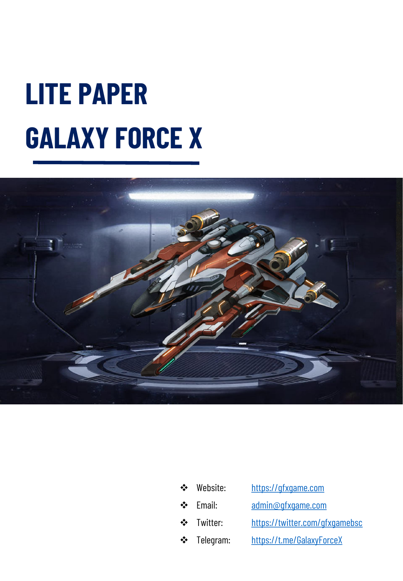# **LITE PAPER GALAXY FORCE X**



| $\frac{1}{2}$ | Website:   | https://qfxqame.com            |
|---------------|------------|--------------------------------|
| $\frac{1}{2}$ | Email:     | admin@qfxqame.com              |
|               | ❖ Twitter: | https://twitter.com/gfxgamebsc |
| $\cdot$       | Telegram:  | https://t.me/GalaxyForceX      |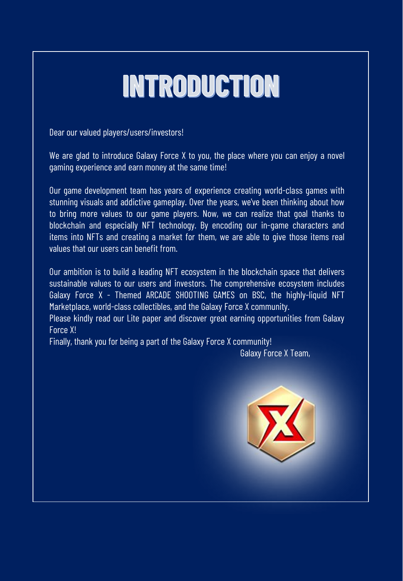## **INTRODUCTION**

Dear our valued players/users/investors!

We are glad to introduce Galaxy Force X to you, the place where you can enjoy a novel gaming experience and earn money at the same time!

Our game development team has years of experience creating world-class games with stunning visuals and addictive gameplay. Over the years, we've been thinking about how to bring more values to our game players. Now, we can realize that goal thanks to blockchain and especially NFT technology. By encoding our in-game characters and items into NFTs and creating a market for them, we are able to give those items real values that our users can benefit from.

Our ambition is to build a leading NFT ecosystem in the blockchain space that delivers sustainable values to our users and investors. The comprehensive ecosystem includes Galaxy Force X - Themed ARCADE SHOOTING GAMES on BSC, the highly-liquid NFT Marketplace, world-class collectibles, and the Galaxy Force X community.

Please kindly read our Lite paper and discover great earning opportunities from Galaxy Force X!

Finally, thank you for being a part of the Galaxy Force X community!

Galaxy Force X Team,

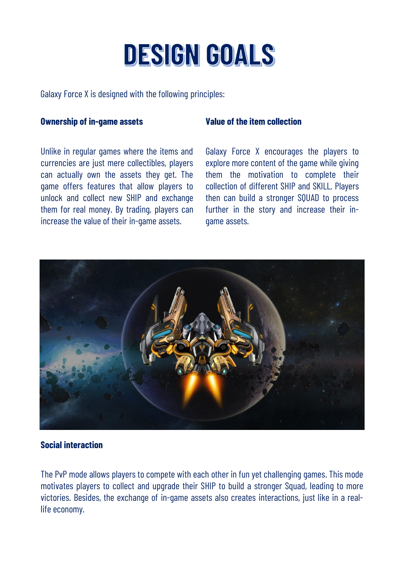## **DESIGN GOALS**

Galaxy Force X is designed with the following principles:

#### **Ownership of in-game assets**

Unlike in regular games where the items and currencies are just mere collectibles, players can actually own the assets they get. The game offers features that allow players to unlock and collect new SHIP and exchange them for real money. By trading, players can increase the value of their in-game assets.

#### **Value of the item collection**

Galaxy Force X encourages the players to explore more content of the game while giving them the motivation to complete their collection of different SHIP and SKILL. Players then can build a stronger SQUAD to process further in the story and increase their ingame assets.



#### **Social interaction**

The PvP mode allows players to compete with each other in fun yet challenging games. This mode motivates players to collect and upgrade their SHIP to build a stronger Squad, leading to more victories. Besides, the exchange of in-game assets also creates interactions, just like in a reallife economy.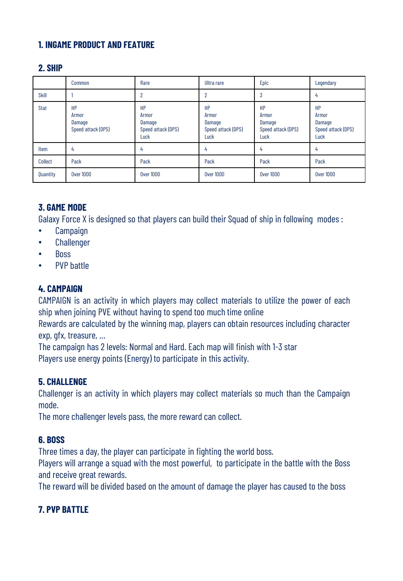### **1. INGAME PRODUCT AND FEATURE**

#### **2. SHIP**

|             | Common                                      | Rare                                                | Ultra rare                                                 | Epic                                                | Legendary                                           |
|-------------|---------------------------------------------|-----------------------------------------------------|------------------------------------------------------------|-----------------------------------------------------|-----------------------------------------------------|
| Skill       |                                             | 2                                                   | 2                                                          | G                                                   | 4                                                   |
| <b>Stat</b> | HP<br>Armor<br>Damage<br>Speed attack (DPS) | HP<br>Armor<br>Damage<br>Speed attack (DPS)<br>Luck | <b>HP</b><br>Armor<br>Damage<br>Speed attack (DPS)<br>Luck | HP<br>Armor<br>Damage<br>Speed attack (DPS)<br>Luck | HP<br>Armor<br>Damage<br>Speed attack (DPS)<br>Luck |
| Item        | 4                                           | 4                                                   | 4                                                          | 4                                                   | 4                                                   |
| Collect     | Pack                                        | Pack                                                | Pack                                                       | Pack                                                | Pack                                                |
| Quantity    | <b>Over 1000</b>                            | <b>Over 1000</b>                                    | <b>Over 1000</b>                                           | <b>Over 1000</b>                                    | <b>Over 1000</b>                                    |

### **3. GAME MODE**

Galaxy Force X is designed so that players can build their Squad of ship in following modes :

- Campaign
- Challenger
- Boss
- PVP battle

### **4. CAMPAIGN**

CAMPAIGN is an activity in which players may collect materials to utilize the power of each ship when joining PVE without having to spend too much time online

Rewards are calculated by the winning map, players can obtain resources including character exp, gfx, treasure, …

The campaign has 2 levels: Normal and Hard. Each map will finish with 1-3 star Players use energy points (Energy) to participate in this activity.

#### **5. CHALLENGE**

Challenger is an activity in which players may collect materials so much than the Campaign mode.

The more challenger levels pass, the more reward can collect.

#### **6. BOSS**

Three times a day, the player can participate in fighting the world boss.

Players will arrange a squad with the most powerful, to participate in the battle with the Boss and receive great rewards.

The reward will be divided based on the amount of damage the player has caused to the boss

### **7. PVP BATTLE**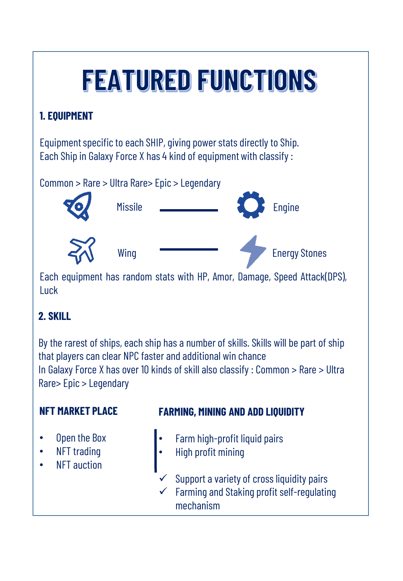## **FEATURED FUNCTIONS**

## **1. EQUIPMENT**

Equipment specific to each SHIP, giving power stats directly to Ship. Each Ship in Galaxy Force X has 4 kind of equipment with classify :



Each equipment has random stats with HP, Amor, Damage, Speed Attack(DPS), **Luck** 

## **2. SKILL**

By the rarest of ships, each ship has a number of skills. Skills will be part of ship that players can clear NPC faster and additional win chance In Galaxy Force X has over 10 kinds of skill also classify : Common  $>$  Rare  $>$  Ultra Rare> Epic > Legendary

## **NFT MARKET PLACE**

• Open the Box **NFT** trading • NFT auction

## **FARMING, MINING AND ADD LIQUIDITY**

- Farm high-profit liquid pairs
- High profit mining
- Support a variety of cross liquidity pairs
- Farming and Staking profit self-regulating mechanism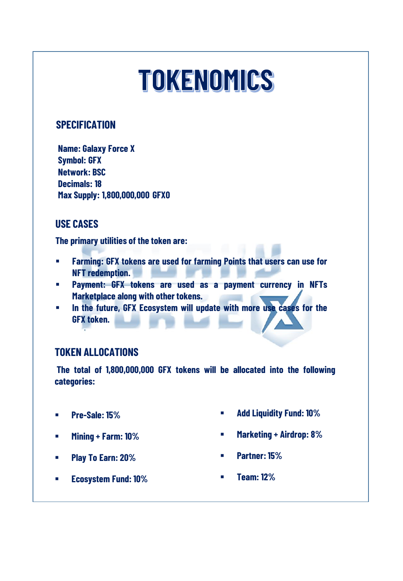## **TOKENOMICS**

### **SPECIFICATION**

**Name: Galaxy Force X Symbol: GFX Network: BSC Decimals: 18 Max Supply: 1,800,000,000 GFX0**

### **USE CASES**

**The primary utilities of the token are:**

- **Farming: GFX tokens are used for farming Points that users can use for NFT redemption.**
- **Payment: GFX tokens are used as a payment currency in NFTs Marketplace along with other tokens.**
- **In the future, GFX Ecosystem will update with more use cases for the GFX token.**

## **TOKEN ALLOCATIONS**

**The total of 1,800,000,000 GFX tokens will be allocated into the following categories:**

- **Pre-Sale: 15%**
- **Mining + Farm: 10%**
- **Play To Earn: 20%**
- 
- **Marketing + Airdrop: 8%**

**Add Liquidity Fund: 10%**

**Partner: 15%**

**Ecosystem Fund: 10%**

**Team: 12%**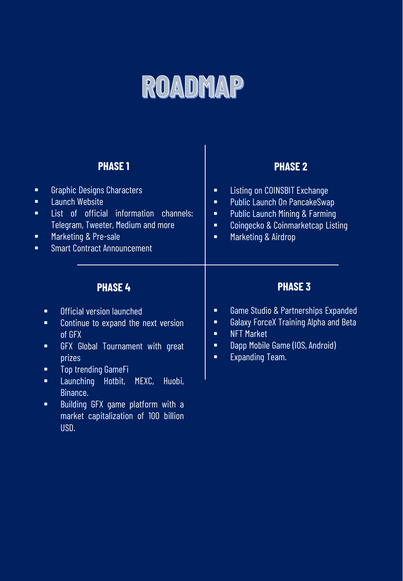## ROADMAP

## **PHASE 1**

## **PHASE 2**

| <b>Graphic Designs Characters</b><br>Ξ<br><b>Launch Website</b><br>Ξ<br>List of official information channels:<br>Ξ<br>Telegram, Tweeter, Medium and more<br>Marketing & Pre-sale<br>Ξ<br><b>Smart Contract Announcement</b><br>Ξ | Listing on COINSBIT Exchange<br>п<br>Public Launch On PancakeSwap<br>п<br><b>Public Launch Mining &amp; Farming</b><br>п<br>Coingecko & Coinmarketcap Listing<br>$\blacksquare$<br>Marketing & Airdrop<br>п |  |
|-----------------------------------------------------------------------------------------------------------------------------------------------------------------------------------------------------------------------------------|-------------------------------------------------------------------------------------------------------------------------------------------------------------------------------------------------------------|--|
| <b>PHASE 4</b>                                                                                                                                                                                                                    | <b>PHASE 3</b>                                                                                                                                                                                              |  |
| Official version launched<br>п<br>Continue to expand the next version<br>Ξ<br>of GFX<br>GFX Global Tournament with great<br>п<br>prizes<br><b>Top trending GameFi</b><br>п<br>Launching Hotbit,<br>MEXC,<br>Huobi <u>,</u><br>п   | Game Studio & Partnerships Expanded<br>π<br><b>Galaxy ForceX Training Alpha and Beta</b><br>п<br><b>NFT Market</b><br>п<br>Dapp Mobile Game (IOS, Android)<br>Ξ<br><b>Expanding Team.</b><br>п              |  |
| Binance.<br>Building GFX game platform with a<br>Ξ<br>$\mathbf{r}$ , $\mathbf{r}$ , $\mathbf{r}$ , $\mathbf{r}$ , $\mathbf{r}$ , $\mathbf{r}$ , $\mathbf{r}$ , $\mathbf{r}$ , $\mathbf{r}$ , $\mathbf{r}$ , $\mathbf{r}$          |                                                                                                                                                                                                             |  |

market capitalization of 100 billion USD.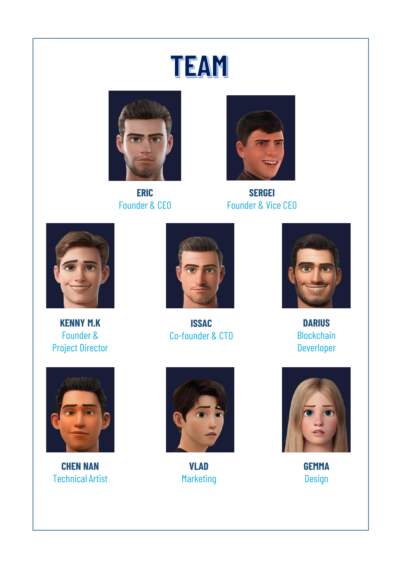## TEAM



**ERIC** Founder & CEO



**SERGEI** Founder & Vice CEO



**KENNY M.K** Founder & Project Director



**ISSAC** Co-founder & CTO



**DARIUS Blockchain** Deverloper



**CHEN NAN** Technical Artist



**VLAD** Marketing



**GEMMA** Design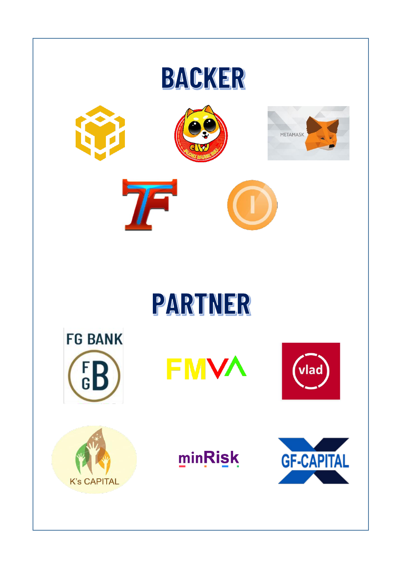